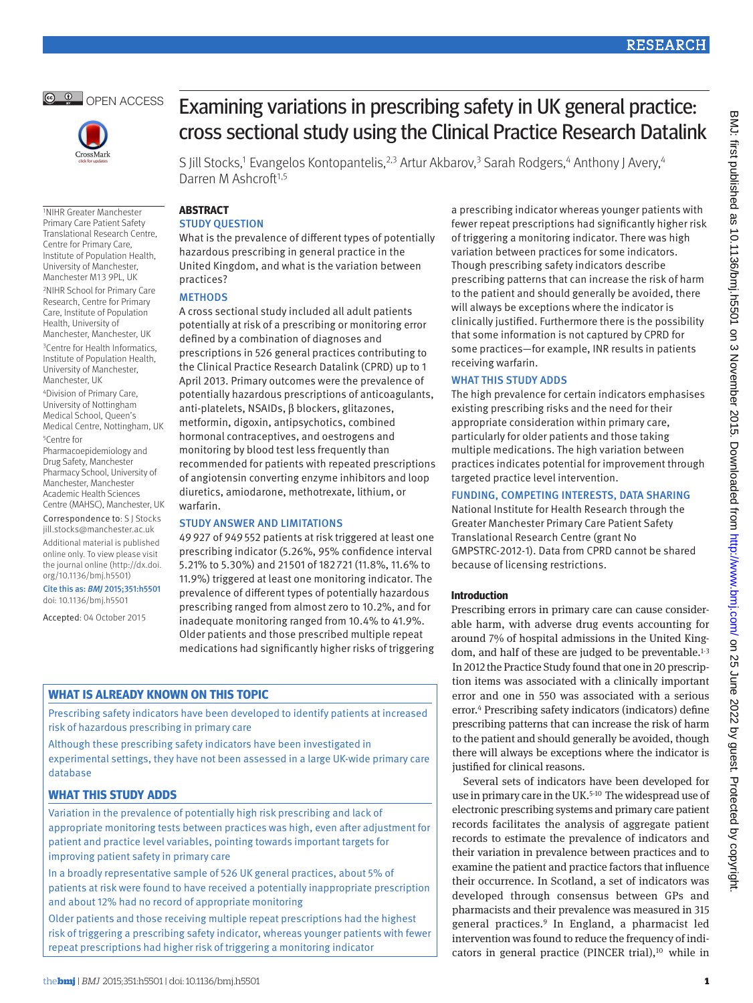



1NIHR Greater Manchester Primary Care Patient Safety Translational Research Centre, Centre for Primary Care, Institute of Population Health, University of Manchester, Manchester M13 9PL, UK

2NIHR School for Primary Care Research, Centre for Primary Care, Institute of Population Health, University of Manchester, Manchester, UK

3Centre for Health Informatics, Institute of Population Health, University of Manchester, Manchester, UK

4Division of Primary Care, University of Nottingham Medical School, Queen's Medical Centre, Nottingham, UK

5Centre for Pharmacoepidemiology and Drug Safety, Manchester Pharmacy School, University of Manchester, Manchester Academic Health Sciences

Centre (MAHSC), Manchester, UK Correspondence to: S J Stocks

jill.stocks@manchester.ac.uk Additional material is published online only. To view please visit the journal online (http://dx.doi. org/10.1136/bmj.h5501)

Cite this as: *BMJ* 2015;351:h5501 doi: 10.1136/bmj.h5501

Accepted: 04 October 2015

# Examining variations in prescribing safety in UK general practice: cross sectional study using the Clinical Practice Research Datalink

S Jill Stocks,<sup>1</sup> Evangelos Kontopantelis,<sup>2,3</sup> Artur Akbarov,<sup>3</sup> Sarah Rodgers,<sup>4</sup> Anthony J Avery,<sup>4</sup> Darren M Ashcroft<sup>1,5</sup>

## **ABSTRACT**

## Study question

What is the prevalence of different types of potentially hazardous prescribing in general practice in the United Kingdom, and what is the variation between practices?

## **METHODS**

A cross sectional study included all adult patients potentially at risk of a prescribing or monitoring error defined by a combination of diagnoses and prescriptions in 526 general practices contributing to the Clinical Practice Research Datalink (CPRD) up to 1 April 2013. Primary outcomes were the prevalence of potentially hazardous prescriptions of anticoagulants, anti-platelets, NSAIDs, β blockers, glitazones, metformin, digoxin, antipsychotics, combined hormonal contraceptives, and oestrogens and monitoring by blood test less frequently than recommended for patients with repeated prescriptions of angiotensin converting enzyme inhibitors and loop diuretics, amiodarone, methotrexate, lithium, or warfarin.

#### Study answer and limitations

49927 of 949552 patients at risk triggered at least one prescribing indicator (5.26%, 95% confidence interval 5.21% to 5.30%) and 21 501 of 182721 (11.8%, 11.6% to 11.9%) triggered at least one monitoring indicator. The prevalence of different types of potentially hazardous prescribing ranged from almost zero to 10.2%, and for inadequate monitoring ranged from 10.4% to 41.9%. Older patients and those prescribed multiple repeat medications had significantly higher risks of triggering

## **What is already known on this topic**

Prescribing safety indicators have been developed to identify patients at increased risk of hazardous prescribing in primary care

Although these prescribing safety indicators have been investigated in experimental settings, they have not been assessed in a large UK-wide primary care database

## **What this study adds**

Variation in the prevalence of potentially high risk prescribing and lack of appropriate monitoring tests between practices was high, even after adjustment for patient and practice level variables, pointing towards important targets for improving patient safety in primary care

In a broadly representative sample of 526 UK general practices, about 5% of patients at risk were found to have received a potentially inappropriate prescription and about 12% had no record of appropriate monitoring

Older patients and those receiving multiple repeat prescriptions had the highest risk of triggering a prescribing safety indicator, whereas younger patients with fewer repeat prescriptions had higher risk of triggering a monitoring indicator

a prescribing indicator whereas younger patients with fewer repeat prescriptions had significantly higher risk of triggering a monitoring indicator. There was high variation between practices for some indicators. Though prescribing safety indicators describe prescribing patterns that can increase the risk of harm to the patient and should generally be avoided, there will always be exceptions where the indicator is clinically justified. Furthermore there is the possibility that some information is not captured by CPRD for some practices—for example, INR results in patients receiving warfarin.

## WHAT THIS STUDY ADDS

The high prevalence for certain indicators emphasises existing prescribing risks and the need for their appropriate consideration within primary care, particularly for older patients and those taking multiple medications. The high variation between practices indicates potential for improvement through targeted practice level intervention.

## Funding, competing interests, data sharing

National Institute for Health Research through the Greater Manchester Primary Care Patient Safety Translational Research Centre (grant No GMPSTRC-2012-1). Data from CPRD cannot be shared because of licensing restrictions.

#### **Introduction**

Prescribing errors in primary care can cause considerable harm, with adverse drug events accounting for around 7% of hospital admissions in the United Kingdom, and half of these are judged to be preventable. $1-3$ In 2012 the Practice Study found that one in 20 prescription items was associated with a clinically important error and one in 550 was associated with a serious error.4 Prescribing safety indicators (indicators) define prescribing patterns that can increase the risk of harm to the patient and should generally be avoided, though there will always be exceptions where the indicator is justified for clinical reasons.

Several sets of indicators have been developed for use in primary care in the UK.5-10 The widespread use of electronic prescribing systems and primary care patient records facilitates the analysis of aggregate patient records to estimate the prevalence of indicators and their variation in prevalence between practices and to examine the patient and practice factors that influence their occurrence. In Scotland, a set of indicators was developed through consensus between GPs and pharmacists and their prevalence was measured in 315 general practices.9 In England, a pharmacist led intervention was found to reduce the frequency of indicators in general practice (PINCER trial), $10$  while in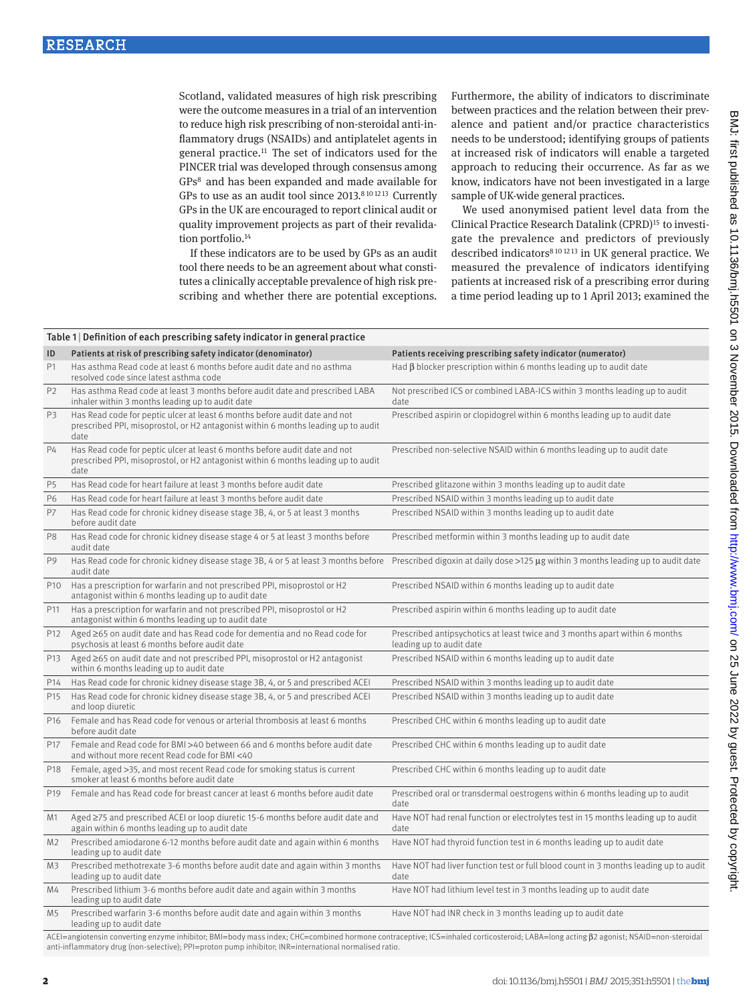Scotland, validated measures of high risk prescribing were the outcome measures in a trial of an intervention to reduce high risk prescribing of non-steroidal anti-inflammatory drugs (NSAIDs) and antiplatelet agents in general practice.11 The set of indicators used for the PINCER trial was developed through consensus among GPs8 and has been expanded and made available for GPs to use as an audit tool since 2013.<sup>8101213</sup> Currently GPs in the UK are encouraged to report clinical audit or quality improvement projects as part of their revalidation portfolio.<sup>14</sup>

If these indicators are to be used by GPs as an audit tool there needs to be an agreement about what constitutes a clinically acceptable prevalence of high risk prescribing and whether there are potential exceptions. Furthermore, the ability of indicators to discriminate between practices and the relation between their prevalence and patient and/or practice characteristics needs to be understood; identifying groups of patients at increased risk of indicators will enable a targeted approach to reducing their occurrence. As far as we know, indicators have not been investigated in a large sample of UK-wide general practices.

We used anonymised patient level data from the Clinical Practice Research Datalink (CPRD)15 to investigate the prevalence and predictors of previously described indicators<sup>8 10 12 13</sup> in UK general practice. We measured the prevalence of indicators identifying patients at increased risk of a prescribing error during a time period leading up to 1 April 2013; examined the

|                 | Table 1   Definition of each prescribing safety indicator in general practice                                                                                           |                                                                                                         |
|-----------------|-------------------------------------------------------------------------------------------------------------------------------------------------------------------------|---------------------------------------------------------------------------------------------------------|
| ID              | Patients at risk of prescribing safety indicator (denominator)                                                                                                          | Patients receiving prescribing safety indicator (numerator)                                             |
| P1              | Has asthma Read code at least 6 months before audit date and no asthma<br>resolved code since latest asthma code                                                        | Had $\beta$ blocker prescription within 6 months leading up to audit date                               |
| P <sub>2</sub>  | Has asthma Read code at least 3 months before audit date and prescribed LABA<br>inhaler within 3 months leading up to audit date                                        | Not prescribed ICS or combined LABA-ICS within 3 months leading up to audit<br>date                     |
| P3              | Has Read code for peptic ulcer at least 6 months before audit date and not<br>prescribed PPI, misoprostol, or H2 antagonist within 6 months leading up to audit<br>date | Prescribed aspirin or clopidogrel within 6 months leading up to audit date                              |
| <b>P4</b>       | Has Read code for peptic ulcer at least 6 months before audit date and not<br>prescribed PPI, misoprostol, or H2 antagonist within 6 months leading up to audit<br>date | Prescribed non-selective NSAID within 6 months leading up to audit date                                 |
| P <sub>5</sub>  | Has Read code for heart failure at least 3 months before audit date                                                                                                     | Prescribed glitazone within 3 months leading up to audit date                                           |
| P6              | Has Read code for heart failure at least 3 months before audit date                                                                                                     | Prescribed NSAID within 3 months leading up to audit date                                               |
| P7              | Has Read code for chronic kidney disease stage 3B, 4, or 5 at least 3 months<br>before audit date                                                                       | Prescribed NSAID within 3 months leading up to audit date                                               |
| P8              | Has Read code for chronic kidney disease stage 4 or 5 at least 3 months before<br>audit date                                                                            | Prescribed metformin within 3 months leading up to audit date                                           |
| P9              | Has Read code for chronic kidney disease stage 3B, 4 or 5 at least 3 months before<br>audit date                                                                        | Prescribed digoxin at daily dose $>125 \mu g$ within 3 months leading up to audit date                  |
| P10             | Has a prescription for warfarin and not prescribed PPI, misoprostol or H2<br>antagonist within 6 months leading up to audit date                                        | Prescribed NSAID within 6 months leading up to audit date                                               |
| P11             | Has a prescription for warfarin and not prescribed PPI, misoprostol or H2<br>antagonist within 6 months leading up to audit date                                        | Prescribed aspirin within 6 months leading up to audit date                                             |
| P <sub>12</sub> | Aged ≥65 on audit date and has Read code for dementia and no Read code for<br>psychosis at least 6 months before audit date                                             | Prescribed antipsychotics at least twice and 3 months apart within 6 months<br>leading up to audit date |
| P13             | Aged ≥65 on audit date and not prescribed PPI, misoprostol or H2 antagonist<br>within 6 months leading up to audit date                                                 | Prescribed NSAID within 6 months leading up to audit date                                               |
| P14             | Has Read code for chronic kidney disease stage 3B, 4, or 5 and prescribed ACEI                                                                                          | Prescribed NSAID within 3 months leading up to audit date                                               |
| P <sub>15</sub> | Has Read code for chronic kidney disease stage 3B, 4, or 5 and prescribed ACEI<br>and loop diuretic                                                                     | Prescribed NSAID within 3 months leading up to audit date                                               |
| P16             | Female and has Read code for venous or arterial thrombosis at least 6 months<br>before audit date                                                                       | Prescribed CHC within 6 months leading up to audit date                                                 |
| P17             | Female and Read code for BMI >40 between 66 and 6 months before audit date<br>and without more recent Read code for BMI <40                                             | Prescribed CHC within 6 months leading up to audit date                                                 |
| P18             | Female, aged >35, and most recent Read code for smoking status is current<br>smoker at least 6 months before audit date                                                 | Prescribed CHC within 6 months leading up to audit date                                                 |
| P <sub>19</sub> | Female and has Read code for breast cancer at least 6 months before audit date                                                                                          | Prescribed oral or transdermal oestrogens within 6 months leading up to audit<br>date                   |
| M1              | Aged ≥75 and prescribed ACEI or loop diuretic 15-6 months before audit date and<br>again within 6 months leading up to audit date                                       | Have NOT had renal function or electrolytes test in 15 months leading up to audit<br>date               |
| M <sub>2</sub>  | Prescribed amiodarone 6-12 months before audit date and again within 6 months<br>leading up to audit date                                                               | Have NOT had thyroid function test in 6 months leading up to audit date                                 |
| M3              | Prescribed methotrexate 3-6 months before audit date and again within 3 months<br>leading up to audit date                                                              | Have NOT had liver function test or full blood count in 3 months leading up to audit<br>date            |
| M4              | Prescribed lithium 3-6 months before audit date and again within 3 months<br>leading up to audit date                                                                   | Have NOT had lithium level test in 3 months leading up to audit date                                    |
| M <sub>5</sub>  | Prescribed warfarin 3-6 months before audit date and again within 3 months<br>leading up to audit date                                                                  | Have NOT had INR check in 3 months leading up to audit date                                             |

ACEI=angiotensin converting enzyme inhibitor; BMI=body mass index; CHC=combined hormone contraceptive; ICS=inhaled corticosteroid; LABA=long acting β2 agonist; NSAID=non-steroidal anti-inflammatory drug (non-selective); PPI=proton pump inhibitor; INR=international normalised ratio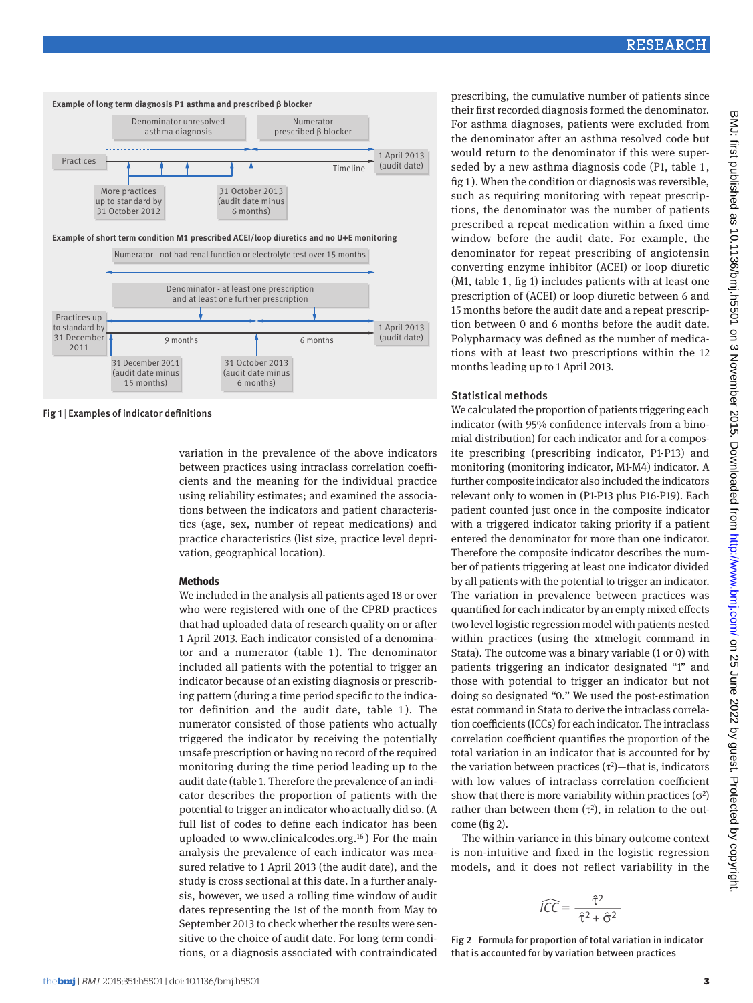

variation in the prevalence of the above indicators between practices using intraclass correlation coefficients and the meaning for the individual practice using reliability estimates; and examined the associations between the indicators and patient characteristics (age, sex, number of repeat medications) and practice characteristics (list size, practice level deprivation, geographical location).

#### **Methods**

We included in the analysis all patients aged 18 or over who were registered with one of the CPRD practices that had uploaded data of research quality on or after 1 April 2013. Each indicator consisted of a denominator and a numerator (table 1). The denominator included all patients with the potential to trigger an indicator because of an existing diagnosis or prescribing pattern (during a time period specific to the indicator definition and the audit date, table 1 ). The numerator consisted of those patients who actually triggered the indicator by receiving the potentially unsafe prescription or having no record of the required monitoring during the time period leading up to the audit date (table 1. Therefore the prevalence of an indicator describes the proportion of patients with the potential to trigger an indicator who actually did so. (A full list of codes to define each indicator has been uploaded to www.clinicalcodes.org.16 ) For the main analysis the prevalence of each indicator was measured relative to 1 April 2013 (the audit date), and the study is cross sectional at this date. In a further analysis, however, we used a rolling time window of audit dates representing the 1st of the month from May to September 2013 to check whether the results were sensitive to the choice of audit date. For long term conditions, or a diagnosis associated with contraindicated prescribing, the cumulative number of patients since their first recorded diagnosis formed the denominator. For asthma diagnoses, patients were excluded from the denominator after an asthma resolved code but would return to the denominator if this were superseded by a new asthma diagnosis code (P1, table 1, fig 1). When the condition or diagnosis was reversible, such as requiring monitoring with repeat prescriptions, the denominator was the number of patients prescribed a repeat medication within a fixed time window before the audit date. For example, the denominator for repeat prescribing of angiotensin converting enzyme inhibitor (ACEI) or loop diuretic  $(M1, table 1, fig 1)$  includes patients with at least one prescription of (ACEI) or loop diuretic between 6 and 15 months before the audit date and a repeat prescription between 0 and 6 months before the audit date. Polypharmacy was defined as the number of medications with at least two prescriptions within the 12 months leading up to 1 April 2013.

#### Statistical methods

We calculated the proportion of patients triggering each indicator (with 95% confidence intervals from a binomial distribution) for each indicator and for a composite prescribing (prescribing indicator, P1-P13) and monitoring (monitoring indicator, M1-M4) indicator. A further composite indicator also included the indicators relevant only to women in (P1-P13 plus P16-P19). Each patient counted just once in the composite indicator with a triggered indicator taking priority if a patient entered the denominator for more than one indicator. Therefore the composite indicator describes the number of patients triggering at least one indicator divided by all patients with the potential to trigger an indicator. The variation in prevalence between practices was quantified for each indicator by an empty mixed effects two level logistic regression model with patients nested within practices (using the xtmelogit command in Stata). The outcome was a binary variable (1 or 0) with patients triggering an indicator designated "1" and those with potential to trigger an indicator but not doing so designated "0." We used the post-estimation estat command in Stata to derive the intraclass correlation coefficients (ICCs) for each indicator. The intraclass correlation coefficient quantifies the proportion of the total variation in an indicator that is accounted for by the variation between practices  $(\tau^2)$ —that is, indicators with low values of intraclass correlation coefficient show that there is more variability within practices  $(\sigma^2)$ rather than between them  $(\tau^2)$ , in relation to the outcome (fig 2).

The within-variance in this binary outcome context is non-intuitive and fixed in the logistic regression models, and it does not reflect variability in the

$$
\widehat{ICC}=\frac{\hat{\tau}^2}{\hat{\tau}^2+\hat{\sigma}^2}
$$

Fig 2 | Formula for proportion of total variation in indicator that is accounted for by variation between practices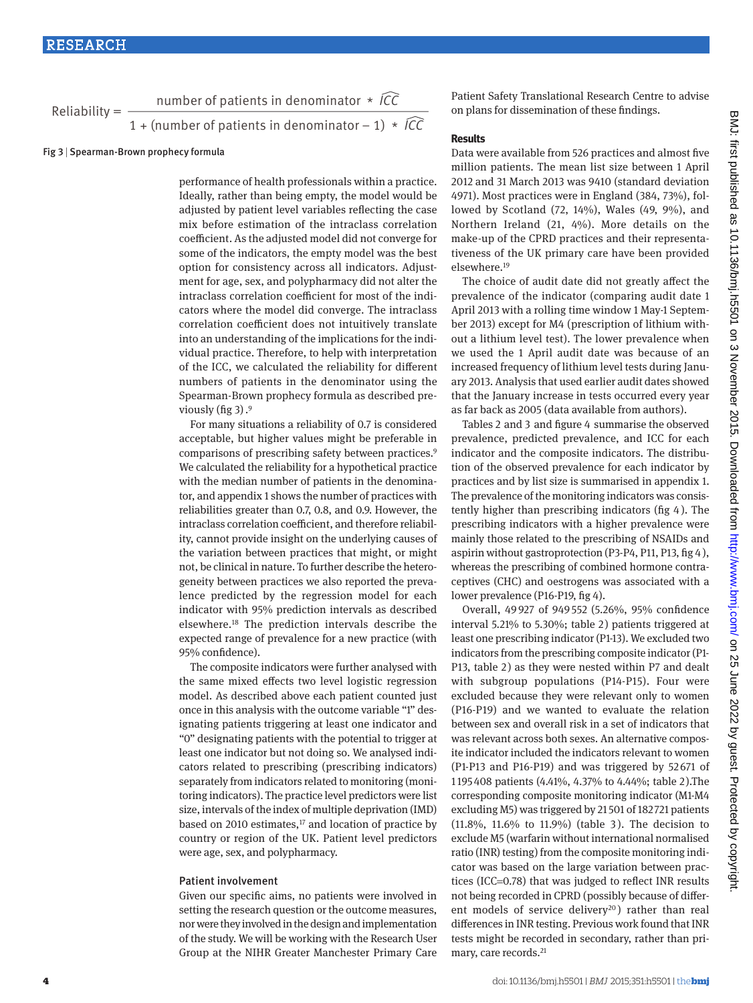Reliability =  $\frac{\text{number of patients in denominator } \times \widehat{ICC}}{}$ 1 + (number of patients in denominator – 1) \* *ICC*

#### Fig 3 | Spearman-Brown prophecy formula

performance of health professionals within a practice. Ideally, rather than being empty, the model would be adjusted by patient level variables reflecting the case mix before estimation of the intraclass correlation coefficient. As the adjusted model did not converge for some of the indicators, the empty model was the best option for consistency across all indicators. Adjustment for age, sex, and polypharmacy did not alter the intraclass correlation coefficient for most of the indicators where the model did converge. The intraclass correlation coefficient does not intuitively translate into an understanding of the implications for the individual practice. Therefore, to help with interpretation of the ICC, we calculated the reliability for different numbers of patients in the denominator using the Spearman-Brown prophecy formula as described previously (fig 3). 9

For many situations a reliability of 0.7 is considered acceptable, but higher values might be preferable in comparisons of prescribing safety between practices.<sup>9</sup> We calculated the reliability for a hypothetical practice with the median number of patients in the denominator, and appendix 1 shows the number of practices with reliabilities greater than 0.7, 0.8, and 0.9. However, the intraclass correlation coefficient, and therefore reliability, cannot provide insight on the underlying causes of the variation between practices that might, or might not, be clinical in nature. To further describe the heterogeneity between practices we also reported the prevalence predicted by the regression model for each indicator with 95% prediction intervals as described elsewhere.18 The prediction intervals describe the expected range of prevalence for a new practice (with 95% confidence).

The composite indicators were further analysed with the same mixed effects two level logistic regression model. As described above each patient counted just once in this analysis with the outcome variable "1" designating patients triggering at least one indicator and "0" designating patients with the potential to trigger at least one indicator but not doing so. We analysed indicators related to prescribing (prescribing indicators) separately from indicators related to monitoring (monitoring indicators). The practice level predictors were list size, intervals of the index of multiple deprivation (IMD) based on 2010 estimates, $17$  and location of practice by country or region of the UK. Patient level predictors were age, sex, and polypharmacy.

#### Patient involvement

Given our specific aims, no patients were involved in setting the research question or the outcome measures, nor were they involved in the design and implementation of the study. We will be working with the Research User Group at the NIHR Greater Manchester Primary Care

Patient Safety Translational Research Centre to advise on plans for dissemination of these findings.

#### **Results**

Data were available from 526 practices and almost five million patients. The mean list size between 1 April 2012 and 31 March 2013 was 9410 (standard deviation 4971). Most practices were in England (384, 73%), followed by Scotland (72, 14%), Wales (49, 9%), and Northern Ireland (21, 4%). More details on the make-up of the CPRD practices and their representativeness of the UK primary care have been provided elsewhere.19

The choice of audit date did not greatly affect the prevalence of the indicator (comparing audit date 1 April 2013 with a rolling time window 1 May-1 September 2013) except for M4 (prescription of lithium without a lithium level test). The lower prevalence when we used the 1 April audit date was because of an increased frequency of lithium level tests during January 2013. Analysis that used earlier audit dates showed that the January increase in tests occurred every year as far back as 2005 (data available from authors).

Tables 2 and 3 and figure 4 summarise the observed prevalence, predicted prevalence, and ICC for each indicator and the composite indicators. The distribution of the observed prevalence for each indicator by practices and by list size is summarised in appendix 1. The prevalence of the monitoring indicators was consistently higher than prescribing indicators (fig 4 ). The prescribing indicators with a higher prevalence were mainly those related to the prescribing of NSAIDs and aspirin without gastroprotection (P3-P4, P11, P13, fig 4), whereas the prescribing of combined hormone contraceptives (CHC) and oestrogens was associated with a lower prevalence (P16-P19, fig 4).

Overall, 49 927 of 949 552 (5.26%, 95% confidence interval 5.21% to 5.30%; table 2) patients triggered at least one prescribing indicator (P1-13). We excluded two indicators from the prescribing composite indicator (P1- P13, table 2) as they were nested within P7 and dealt with subgroup populations (P14-P15). Four were excluded because they were relevant only to women (P16-P19) and we wanted to evaluate the relation between sex and overall risk in a set of indicators that was relevant across both sexes. An alternative composite indicator included the indicators relevant to women (P1-P13 and P16-P19) and was triggered by 52 671 of 1 195408 patients (4.41%, 4.37% to 4.44%; table 2 ).The corresponding composite monitoring indicator (M1-M4 excluding M5) was triggered by 21 501 of 182 721 patients (11.8%, 11.6% to 11.9%) (table 3 ). The decision to exclude M5 (warfarin without international normalised ratio (INR) testing) from the composite monitoring indicator was based on the large variation between practices (ICC=0.78) that was judged to reflect INR results not being recorded in CPRD (possibly because of different models of service delivery<sup>20</sup>) rather than real differences in INR testing. Previous work found that INR tests might be recorded in secondary, rather than primary, care records.<sup>21</sup>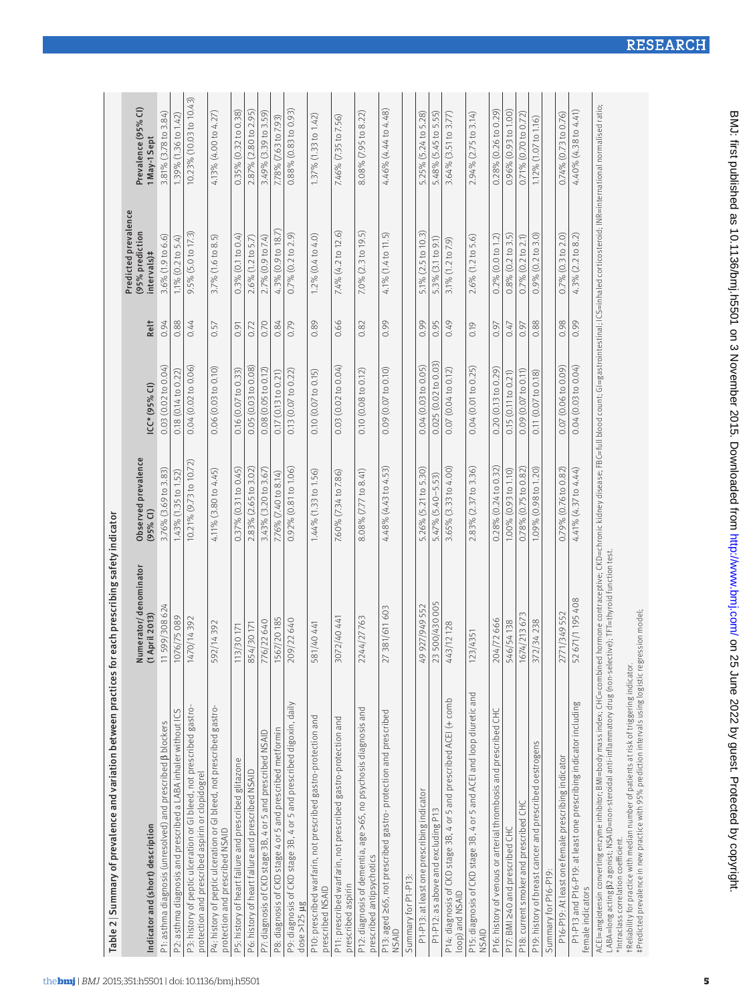| Table 2   Summary of prevalence and variation between practices fo                                                                                                                                                                                                                                                                                                                                                                                                                                                                                                                                        | each prescribing safety indicator      |                                               |                     |      |                                                        |                                   |
|-----------------------------------------------------------------------------------------------------------------------------------------------------------------------------------------------------------------------------------------------------------------------------------------------------------------------------------------------------------------------------------------------------------------------------------------------------------------------------------------------------------------------------------------------------------------------------------------------------------|----------------------------------------|-----------------------------------------------|---------------------|------|--------------------------------------------------------|-----------------------------------|
| Indicator and (short) description                                                                                                                                                                                                                                                                                                                                                                                                                                                                                                                                                                         | Numerator/denominator<br>1 April 2013) | Observed prevalence<br>(95% <sup>o</sup> (1)) | $ICC*(95% CI)$      | Relt | Predicted prevalence<br>(95% prediction<br>intervals)# | Prevalence (95% CI)<br>1May-1Sept |
| P1: asthma diagnosis (unresolved) and prescribed B blockers                                                                                                                                                                                                                                                                                                                                                                                                                                                                                                                                               | 1599/308 624                           | 3.76% (3.69 to 3.83)                          | 0.03(0.02 to 0.04)  | 0.94 | 3.6% (1.9 to 6.6)                                      | 3.81% (3.78 to 3.84)              |
| P2: asthma diagnosis and prescribed a LABA inhaler without ICS                                                                                                                                                                                                                                                                                                                                                                                                                                                                                                                                            | 076/75089                              | 1.43% (1.35 to 1.52)                          | 0.18 (0.14 to 0.22) | 0.88 | 1.1% (0.2 to 5.4)                                      | 1.39% (1.36 to 1.42)              |
| P3: history of peptic ulceration or GI bleed, not prescribed gastro-<br>protection and prescribed aspirin or clopidogrel                                                                                                                                                                                                                                                                                                                                                                                                                                                                                  | 470/14 392                             | 10.21% (9.73 to 10.72)                        | 0.04(0.02 to 0.06)  | 0.44 | $9.5\%$ (5.0 to 17.3)                                  | 10.23% (10.03 to 10.43)           |
| P4: history of peptic ulceration or GI bleed, not prescribed gastro<br>protection and prescribed NSAID                                                                                                                                                                                                                                                                                                                                                                                                                                                                                                    | 592/14392                              | 4.11% (3.80 to 4.45)                          | 0.06(0.03 to 0.10)  | 0.57 | $3.7\%$ (1.6 to 8.5)                                   | 4.13% (4.00 to 4.27)              |
| P5: history of heart failure and prescribed glitazone                                                                                                                                                                                                                                                                                                                                                                                                                                                                                                                                                     | 13/30 171                              | 0.37% (0.31 to 0.45)                          | 0.16 (0.07 to 0.33) | 0.91 | $0.3\%$ $(0.1 \text{ to } 0.4)$                        | 0.35% (0.32 to 0.38)              |
| P6: history of heart failure and prescribed NSAID                                                                                                                                                                                                                                                                                                                                                                                                                                                                                                                                                         | 854/30 171                             | 2.83% (2.65 to 3.02)                          | 0.05(0.03 to 0.08)  | 0.72 | 2.6% (1.2 to 5.7)                                      | 2.87% (2.80 to 2.95)              |
| P7: diagnosis of CKD stage 3B, 4 or 5 and prescribed NSAID                                                                                                                                                                                                                                                                                                                                                                                                                                                                                                                                                | 776/22640                              | 3.43% (3.20 to 3.67)                          | 0.08 (0.05 to 0.12) | 0.70 | 2.7% (0.9 to 7.4)                                      | 3.49% (3.39 to 3.59)              |
| P8: diagnosis of CKD stage 4 or 5 and prescribed metformin                                                                                                                                                                                                                                                                                                                                                                                                                                                                                                                                                | 567/20185                              | 7.76% (7.40 to 8.14)                          | 0.17(0.13 to 0.21)  | 0.84 | 4.3% (0.9 to 18.7)                                     | 7.78% (7.63 to 7.93)              |
| P9: diagnosis of CKD stage 3B, 4 or 5 and prescribed digoxin, daily<br>dose $>125 \mu$ g                                                                                                                                                                                                                                                                                                                                                                                                                                                                                                                  | 209/22640                              | 0.92% (0.81 to 1.06)                          | 0.13 (0.07 to 0.22) | 0.79 | $0.7\%$ $(0.2 \text{ to } 2.9)$                        | $0.88\%$ (0.83 to 0.93)           |
| P10: prescribed warfarin, not prescribed gastro-protection and<br>prescribed NSAID                                                                                                                                                                                                                                                                                                                                                                                                                                                                                                                        | 81/40 441                              | 1.44% (1.33 to 1.56)                          | 0.10 (0.07 to 0.15) | 0.89 | $1.2\%$ (0.4 to 4.0)                                   | 1.37% (1.33 to 1.42)              |
| P11: prescribed warfarin, not prescribed gastro-protection and<br>prescribed aspirin                                                                                                                                                                                                                                                                                                                                                                                                                                                                                                                      | 3072/40 441                            | 7.60% (7.34 to 7.86)                          | 0.03(0.02 to 0.04)  | 0.66 | 7.4% (4.2 to 12.6)                                     | 7.46% (7.35 to 7.56)              |
| P12: diagnosis of dementia, age >65, no psychosis diagnosis and<br>prescribed antipsychotics                                                                                                                                                                                                                                                                                                                                                                                                                                                                                                              | 244/27763                              | 8.08% (7.77 to 8.41)                          | 0.10(0.08 to 0.12)  | 0.82 | $7.0\%$ (2.3 to 19.5)                                  | 8.08% (7.95 to 8.22)              |
| P13: aged 265, not prescribed gastro-protection and prescribed<br>NSAID                                                                                                                                                                                                                                                                                                                                                                                                                                                                                                                                   | 27381/611603                           | 4.48% (4.43 to 4.53)                          | 0.09 (0.07 to 0.10) | 0.99 | 4.1% (1.4 to 11.5)                                     | 4.46% (4.44 to 4.48)              |
| Summary for P1-P13:                                                                                                                                                                                                                                                                                                                                                                                                                                                                                                                                                                                       |                                        |                                               |                     |      |                                                        |                                   |
| P1-P13: at least one prescribing indicator                                                                                                                                                                                                                                                                                                                                                                                                                                                                                                                                                                | 49 927/949 552                         | 5.26% (5.21 to 5.30)                          | 0.04 (0.03 to 0.05) | 0.99 | 5.1% (2.5 to 10.3)                                     | 5.25% (5.24 to 5.28)              |
| P1-P12: as above and excluding P13                                                                                                                                                                                                                                                                                                                                                                                                                                                                                                                                                                        | 23500/430005                           | 47% (5.40-5.53)<br>LŃ.                        | 0.025(0.02 to 0.03) | 0.95 | 5.3% (3.1 to 9.1)                                      | 5.48% (5.45 to 5.55)              |
| P14: diagnosis of CKD stage 3B, 4 or 5 and prescribed ACEI (+ comb<br>loop) and NSAID                                                                                                                                                                                                                                                                                                                                                                                                                                                                                                                     | 443/12128                              | 3.65% (3.33 to 4.00)                          | 0.07 (0.04 to 0.12) | 0.49 | 3.1% (1.2 to 7.9)                                      | 3.64% (3.51 to 3.77)              |
| P15: diagnosis of CKD stage 3B, 4 or 5 and ACEI and loop diuretic and<br>NSAID                                                                                                                                                                                                                                                                                                                                                                                                                                                                                                                            | 23/4351                                | 2.83% (2.37 to 3.36)                          | 0.04(0.01 to 0.25)  | 0.19 | 2.6% (1.2 to 5.6)                                      | 2.94% (2.75 to 3.14)              |
| P16: history of venous or arterial thrombosis and prescribed CHC                                                                                                                                                                                                                                                                                                                                                                                                                                                                                                                                          | 204/72666                              | $0.28\%$ $(0.24$ to $0.32)$                   | 0.20(0.13 to 0.29)  | 0.97 | $0.2\%$ (0.0 to 1.2)                                   | 0.28% (0.26 to 0.29)              |
| P17: BMI 240 and prescribed CHC                                                                                                                                                                                                                                                                                                                                                                                                                                                                                                                                                                           | 546/54138                              | 1.00% (0.93 to 1.10)                          | 0.15 (0.11 to 0.21) | 0.47 | $0.8\%$ $(0.2 \text{ to } 3.5)$                        | 0.96% (0.93 to 1.00)              |
| P18: current smoker and prescribed CHC                                                                                                                                                                                                                                                                                                                                                                                                                                                                                                                                                                    | 674/213 673                            | 0.78% (0.75 to 0.82)                          | 0.09 (0.07 to 0.11) | 0.97 | $0.7\%$ $(0.2 \text{ to } 2.1)$                        | 0.71% (0.70 to 0.72)              |
| P19: history of breast cancer and prescribed oestrogens                                                                                                                                                                                                                                                                                                                                                                                                                                                                                                                                                   | 372/34238                              | 1.09% (0.98 to 1.20)                          | 0.11 (0.07 to 0.18) | 0.88 | $0.9\%$ (0.2 to 3.0)                                   | 1.12% (1.07 to 1.16)              |
| Summary for P16-P19:                                                                                                                                                                                                                                                                                                                                                                                                                                                                                                                                                                                      |                                        |                                               |                     |      |                                                        |                                   |
| P16-P19: At least one female prescribing indicator                                                                                                                                                                                                                                                                                                                                                                                                                                                                                                                                                        | 2771/349 552                           | 0.79% (0.76 to 0.82)                          | 0.07(0.06 to 0.09)  | 0.98 | $0.7\%$ $(0.3 \text{ to } 2.0)$                        | 0.74% (0.73 to 0.76)              |
| P1-P13 and P16-P19: at least one prescribing indicator including<br>female indicators                                                                                                                                                                                                                                                                                                                                                                                                                                                                                                                     | 52 671/1 195 408                       | 4.41% (4.37 to 4.44)                          | 0.04(0.03 to 0.04)  | 0.99 | 4.3% (2.2 to 8.2)                                      | 4.40% (4.38 to 4.41)              |
| ACEI=angiotensin converting enzyme inhibitor, BMI=body mass index; CHC=combined hormone contraceptive; CXD=chronic kidney disease; FBC=full blood count; GI=gastrointestinal; ICS=inhaled corticosteroid; INR=international no<br>LABA=long acting $\beta$ 2 agonist; NSAID=non-steroidal anti-inflammatory drug (non-selective); TFT=thyroid function test.<br>#Predicted prevalence in new practice with 95% prediction intervals using logistic regression model;<br>tReliability for practice with median number of patients at risk of triggering indicator.<br>*Intraclass correlation coefficient. |                                        |                                               |                     |      |                                                        |                                   |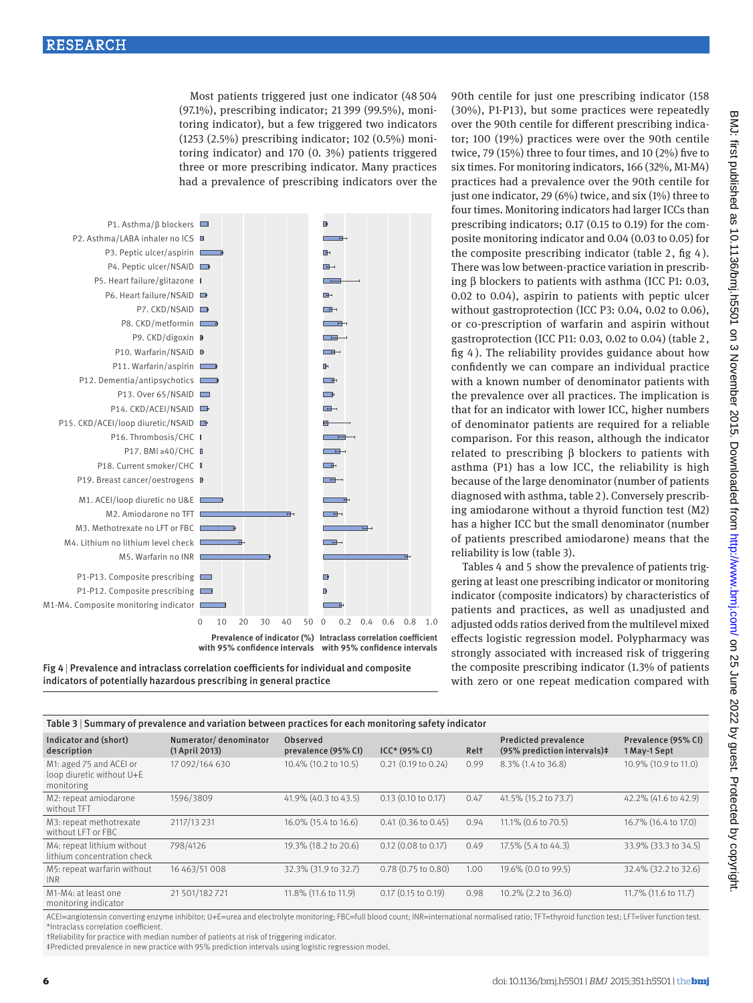Most patients triggered just one indicator (48 504 (97.1%), prescribing indicator; 21 399 (99.5%), monitoring indicator), but a few triggered two indicators (1253 (2.5%) prescribing indicator; 102 (0.5%) monitoring indicator) and 170 (0. 3%) patients triggered three or more prescribing indicator. Many practices had a prevalence of prescribing indicators over the



**with 95% con
dence intervals with 95% con
dence intervals**



90th centile for just one prescribing indicator (158 (30%), P1-P13), but some practices were repeatedly over the 90th centile for different prescribing indicator; 100 (19%) practices were over the 90th centile twice, 79 (15%) three to four times, and 10 (2%) five to six times. For monitoring indicators, 166 (32%, M1-M4) practices had a prevalence over the 90th centile for just one indicator, 29 (6%) twice, and six (1%) three to four times. Monitoring indicators had larger ICCs than prescribing indicators; 0.17 (0.15 to 0.19) for the composite monitoring indicator and 0.04 (0.03 to 0.05) for the composite prescribing indicator (table  $2$ , fig  $4$ ). There was low between-practice variation in prescribing β blockers to patients with asthma (ICC P1: 0.03, 0.02 to 0.04), aspirin to patients with peptic ulcer without gastroprotection (ICC P3: 0.04, 0.02 to 0.06), or co-prescription of warfarin and aspirin without gastroprotection (ICC P11: 0.03, 0.02 to 0.04) (table 2 , fig 4 ). The reliability provides guidance about how confidently we can compare an individual practice with a known number of denominator patients with the prevalence over all practices. The implication is that for an indicator with lower ICC, higher numbers of denominator patients are required for a reliable comparison. For this reason, although the indicator related to prescribing β blockers to patients with asthma (P1) has a low ICC, the reliability is high because of the large denominator (number of patients diagnosed with asthma, table 2). Conversely prescribing amiodarone without a thyroid function test (M2) has a higher ICC but the small denominator (number of patients prescribed amiodarone) means that the reliability is low (table 3).

Tables 4 and 5 show the prevalence of patients triggering at least one prescribing indicator or monitoring indicator (composite indicators) by characteristics of patients and practices, as well as unadjusted and adjusted odds ratios derived from the multilevel mixed effects logistic regression model. Polypharmacy was strongly associated with increased risk of triggering the composite prescribing indicator (1.3% of patients with zero or one repeat medication compared with

| Table 3 Summary of prevalence and variation between practices for each monitoring safety indicator |                                         |                                 |                               |      |                                                            |                                     |  |  |
|----------------------------------------------------------------------------------------------------|-----------------------------------------|---------------------------------|-------------------------------|------|------------------------------------------------------------|-------------------------------------|--|--|
| Indicator and (short)<br>description                                                               | Numerator/denominator<br>(1 April 2013) | Observed<br>prevalence (95% CI) | $ICC* (95% CI)$               | Relt | <b>Predicted prevalence</b><br>(95% prediction intervals)# | Prevalence (95% CI)<br>1 May-1 Sept |  |  |
| M1: aged 75 and ACEI or<br>loop diuretic without U+E<br>monitoring                                 | 17 092/164 630                          | 10.4% (10.2 to 10.5)            | 0.21(0.19 to 0.24)            | 0.99 | 8.3% (1.4 to 36.8)                                         | 10.9% (10.9 to 11.0)                |  |  |
| M2: repeat amiodarone<br>without TFT                                                               | 1596/3809                               | 41.9% (40.3 to 43.5)            | $0.13$ (0.10 to 0.17)         | 0.47 | 41.5% (15.2 to 73.7)                                       | 42.2% (41.6 to 42.9)                |  |  |
| M <sub>3</sub> : repeat methotrexate<br>without LFT or FBC                                         | 2117/13 231                             | 16.0% (15.4 to 16.6)            | $0.41(0.36 \text{ to } 0.45)$ | 0.94 | 11.1% (0.6 to 70.5)                                        | 16.7% (16.4 to 17.0)                |  |  |
| M4: repeat lithium without<br>lithium concentration check                                          | 798/4126                                | 19.3% (18.2 to 20.6)            | $0.12$ (0.08 to 0.17)         | 0.49 | 17.5% (5.4 to 44.3)                                        | 33.9% (33.3 to 34.5)                |  |  |
| M5: repeat warfarin without<br>INR                                                                 | 16 463/51 008                           | 32.3% (31.9 to 32.7)            | $0.78(0.75 \text{ to } 0.80)$ | 1.00 | 19.6% (0.0 to 99.5)                                        | 32.4% (32.2 to 32.6)                |  |  |
| M1-M4: at least one<br>monitoring indicator                                                        | 21 501/182 721                          | 11.8% (11.6 to 11.9)            | $0.17(0.15 \text{ to } 0.19)$ | 0.98 | 10.2% (2.2 to 36.0)                                        | 11.7% (11.6 to 11.7)                |  |  |

ACEI=angiotensin converting enzyme inhibitor; U+E=urea and electrolyte monitoring; FBC=full blood count; INR=international normalised ratio; TFT=thyroid function test; LFT=liver function test. \*Intraclass correlation coefficient.

†Reliability for practice with median number of patients at risk of triggering indicator.

‡Predicted prevalence in new practice with 95% prediction intervals using logistic regression model.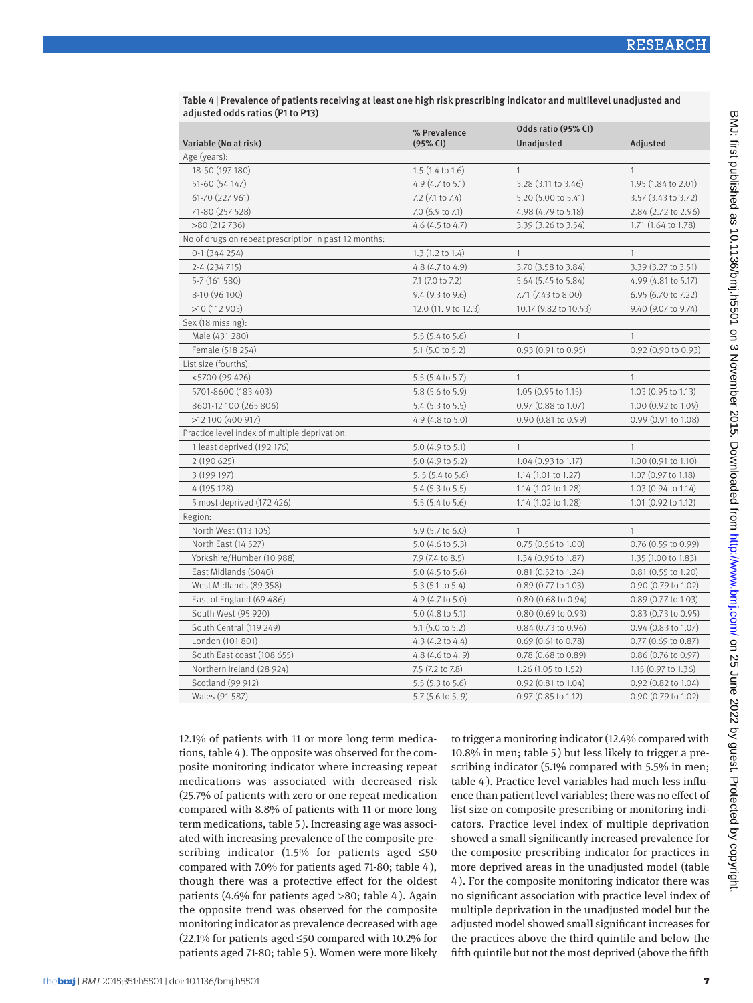#### Table 4 | Prevalence of patients receiving at least one high risk prescribing indicator and multilevel unadjusted and adjusted odds ratios (P1 to P13)

|                                                       | % Prevalence                | Odds ratio (95% CI)           |                               |  |
|-------------------------------------------------------|-----------------------------|-------------------------------|-------------------------------|--|
| Variable (No at risk)                                 | (95% CI)                    | Unadjusted                    | Adjusted                      |  |
| Age (years):                                          |                             |                               |                               |  |
| 18-50 (197 180)                                       | $1.5(1.4 \text{ to } 1.6)$  | $\mathbf{1}$                  | $\mathbf{1}$                  |  |
| 51-60 (54 147)                                        | 4.9 (4.7 to 5.1)            | 3.28 (3.11 to 3.46)           | 1.95 (1.84 to 2.01)           |  |
| 61-70 (227 961)                                       | 7.2 (7.1 to 7.4)            | 5.20 (5.00 to 5.41)           | $3.57$ (3.43 to 3.72)         |  |
| 71-80 (257 528)                                       | 7.0 (6.9 to 7.1)            | 4.98 (4.79 to 5.18)           | 2.84 (2.72 to 2.96)           |  |
| >80(212736)                                           | 4.6 $(4.5 \text{ to } 4.7)$ | 3.39 (3.26 to 3.54)           | 1.71 (1.64 to 1.78)           |  |
| No of drugs on repeat prescription in past 12 months: |                             |                               |                               |  |
| $0-1(344254)$                                         | $1.3$ (1.2 to 1.4)          | $\mathbf{1}$                  | $\mathbf{1}$                  |  |
| 2-4 (234 715)                                         | 4.8 (4.7 to 4.9)            | 3.70 (3.58 to 3.84)           | 3.39 (3.27 to 3.51)           |  |
| 5-7 (161 580)                                         | 7.1 (7.0 to 7.2)            | 5.64 (5.45 to 5.84)           | 4.99 (4.81 to 5.17)           |  |
| 8-10 (96 100)                                         | 9.4 (9.3 to 9.6)            | 7.71 (7.43 to 8.00)           | 6.95 (6.70 to 7.22)           |  |
| $>10$ (112 903)                                       | 12.0 (11. 9 to 12.3)        | 10.17 (9.82 to 10.53)         | 9.40 (9.07 to 9.74)           |  |
| Sex (18 missing):                                     |                             |                               |                               |  |
| Male (431 280)                                        | $5.5(5.4 \text{ to } 5.6)$  | 1                             | $\mathbf{1}$                  |  |
| Female (518 254)                                      | 5.1 $(5.0 \text{ to } 5.2)$ | 0.93(0.91 to 0.95)            | $0.92$ (0.90 to 0.93)         |  |
| List size (fourths):                                  |                             |                               |                               |  |
| <5700 (99 426)                                        | 5.5 (5.4 to 5.7)            | $\mathbf{1}$                  | $\mathbf{1}$                  |  |
| 5701-8600 (183 403)                                   | 5.8 (5.6 to 5.9)            | $1.05$ (0.95 to 1.15)         | $1.03$ (0.95 to 1.13)         |  |
| 8601-12 100 (265 806)                                 | $5.4$ (5.3 to 5.5)          | $0.97$ (0.88 to 1.07)         | 1.00 (0.92 to 1.09)           |  |
| >12 100 (400 917)                                     | $4.9$ (4.8 to 5.0)          | 0.90(0.81 to 0.99)            | 0.99 (0.91 to 1.08)           |  |
| Practice level index of multiple deprivation:         |                             |                               |                               |  |
| 1 least deprived (192 176)                            | 5.0 (4.9 to 5.1)            | $\mathbf{1}$                  | $\mathbf{1}$                  |  |
| 2(190625)                                             | 5.0 (4.9 to 5.2)            | 1.04 (0.93 to 1.17)           | $1.00$ (0.91 to 1.10)         |  |
| 3 (199 197)                                           | 5.5 $(5.4 \text{ to } 5.6)$ | 1.14 (1.01 to 1.27)           | 1.07 (0.97 to 1.18)           |  |
| 4 (195 128)                                           | $5.4$ (5.3 to 5.5)          | 1.14 (1.02 to 1.28)           | $1.03(0.94 \text{ to } 1.14)$ |  |
| 5 most deprived (172 426)                             | $5.5(5.4 \text{ to } 5.6)$  | 1.14 (1.02 to 1.28)           | $1.01$ (0.92 to 1.12)         |  |
| Region:                                               |                             |                               |                               |  |
| North West (113 105)                                  | 5.9 (5.7 to 6.0)            | $\mathbf{1}$                  | $\mathbf{1}$                  |  |
| North East (14 527)                                   | 5.0 (4.6 to 5.3)            | 0.75 (0.56 to 1.00)           | $0.76$ (0.59 to 0.99)         |  |
| Yorkshire/Humber (10 988)                             | 7.9 (7.4 to 8.5)            | 1.34 (0.96 to 1.87)           | 1.35 (1.00 to 1.83)           |  |
| East Midlands (6040)                                  | $5.0$ (4.5 to 5.6)          | $0.81$ $(0.52$ to 1.24)       | $0.81$ (0.55 to 1.20)         |  |
| West Midlands (89 358)                                | $5.3$ (5.1 to 5.4)          | $0.89$ $(0.77$ to 1.03)       | $0.90(0.79 \text{ to } 1.02)$ |  |
| East of England (69 486)                              | 4.9 $(4.7 \text{ to } 5.0)$ | $0.80(0.68 \text{ to } 0.94)$ | $0.89$ (0.77 to 1.03)         |  |
| South West (95 920)                                   | 5.0 $(4.8 \text{ to } 5.1)$ | $0.80$ (0.69 to 0.93)         | $0.83$ (0.73 to 0.95)         |  |
| South Central (119 249)                               | 5.1 $(5.0 \text{ to } 5.2)$ | $0.84$ (0.73 to 0.96)         | $0.94$ $(0.83$ to 1.07)       |  |
| London (101 801)                                      | $4.3(4.2 \text{ to } 4.4)$  | $0.69$ (0.61 to 0.78)         | $0.77(0.69 \text{ to } 0.87)$ |  |
| South East coast (108 655)                            | 4.8 (4.6 to 4.9)            | 0.78 (0.68 to 0.89)           | $0.86$ (0.76 to 0.97)         |  |
| Northern Ireland (28 924)                             | 7.5 (7.2 to 7.8)            | $1.26$ (1.05 to 1.52)         | 1.15 (0.97 to 1.36)           |  |
| Scotland (99 912)                                     | 5.5 $(5.3 \text{ to } 5.6)$ | 0.92 (0.81 to 1.04)           | $0.92$ (0.82 to 1.04)         |  |
| Wales (91 587)                                        | $5.7$ (5.6 to 5.9)          | $0.97$ (0.85 to 1.12)         | $0.90(0.79 \text{ to } 1.02)$ |  |

12.1% of patients with 11 or more long term medications, table 4 ). The opposite was observed for the composite monitoring indicator where increasing repeat medications was associated with decreased risk (25.7% of patients with zero or one repeat medication compared with 8.8% of patients with 11 or more long term medications, table 5 ). Increasing age was associated with increasing prevalence of the composite prescribing indicator (1.5% for patients aged  $\leq 50$ compared with 7.0% for patients aged 71-80; table 4 ), though there was a protective effect for the oldest patients (4.6% for patients aged >80; table 4 ). Again the opposite trend was observed for the composite monitoring indicator as prevalence decreased with age (22.1% for patients aged ≤50 compared with 10.2% for patients aged 71-80; table 5 ). Women were more likely

to trigger a monitoring indicator (12.4% compared with 10.8% in men; table 5 ) but less likely to trigger a prescribing indicator (5.1% compared with 5.5% in men; table 4). Practice level variables had much less influence than patient level variables; there was no effect of list size on composite prescribing or monitoring indicators. Practice level index of multiple deprivation showed a small significantly increased prevalence for the composite prescribing indicator for practices in more deprived areas in the unadjusted model (table 4 ). For the composite monitoring indicator there was no significant association with practice level index of multiple deprivation in the unadjusted model but the adjusted model showed small significant increases for the practices above the third quintile and below the fifth quintile but not the most deprived (above the fifth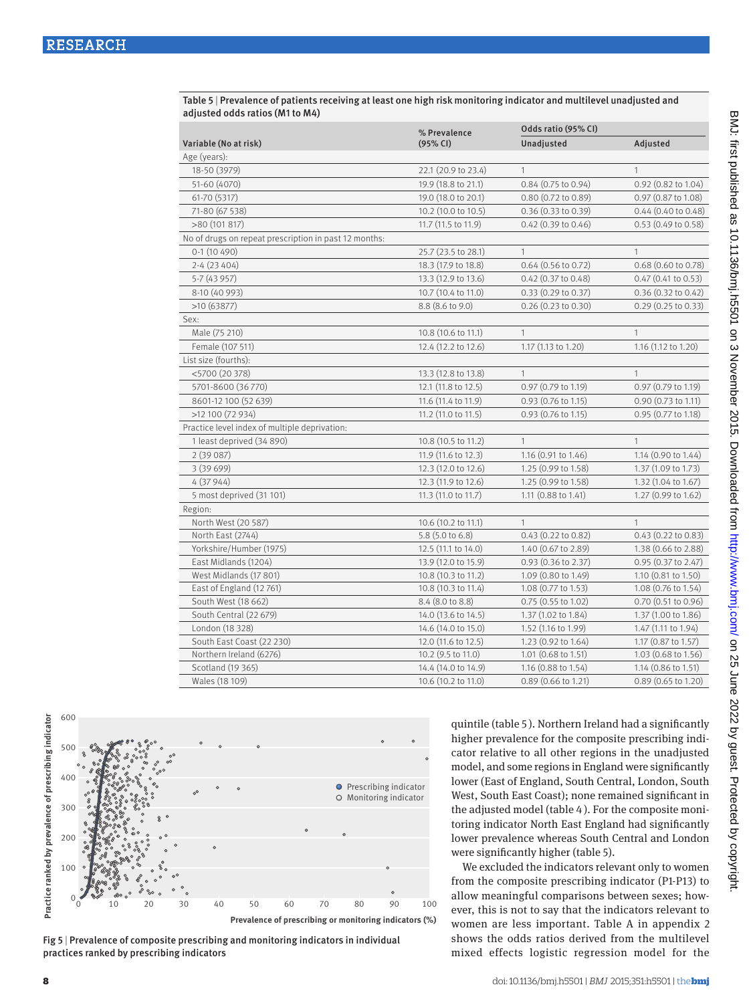| Table 5   Prevalence of patients receiving at least one high risk monitoring indicator and multilevel unadjusted and |
|----------------------------------------------------------------------------------------------------------------------|
| adjusted odds ratios (M1 to M4)                                                                                      |

|                                                       | % Prevalence                | Odds ratio (95% CI)            |                               |  |
|-------------------------------------------------------|-----------------------------|--------------------------------|-------------------------------|--|
| Variable (No at risk)                                 | (95% CI)                    | <b>Unadjusted</b>              | Adjusted                      |  |
| Age (years):                                          |                             |                                |                               |  |
| 18-50 (3979)                                          | 22.1 (20.9 to 23.4)         | $\mathbf{1}$                   | $\mathbf{1}$                  |  |
| 51-60 (4070)                                          | 19.9 (18.8 to 21.1)         | $0.84$ (0.75 to 0.94)          | $0.92$ (0.82 to 1.04)         |  |
| 61-70 (5317)                                          | 19.0 (18.0 to 20.1)         | $0.80$ (0.72 to 0.89)          | $0.97(0.87 \text{ to } 1.08)$ |  |
| 71-80 (67 538)                                        | 10.2 (10.0 to 10.5)         | 0.36(0.33 to 0.39)             | $0.44$ (0.40 to 0.48)         |  |
| >80 (101 817)                                         | 11.7 (11.5 to 11.9)         | $0.42$ (0.39 to 0.46)          | $0.53$ (0.49 to 0.58)         |  |
| No of drugs on repeat prescription in past 12 months: |                             |                                |                               |  |
| $0-1(10490)$                                          | 25.7 (23.5 to 28.1)         | $\mathbf{1}$                   | 1                             |  |
| $2-4(23404)$                                          | 18.3 (17.9 to 18.8)         | $0.64$ (0.56 to 0.72)          | $0.68$ (0.60 to 0.78)         |  |
| 5-7 (43 957)                                          | 13.3 (12.9 to 13.6)         | $0.42$ (0.37 to 0.48)          | $0.47$ (0.41 to 0.53)         |  |
| 8-10 (40 993)                                         | 10.7 (10.4 to 11.0)         | 0.33(0.29 to 0.37)             | $0.36(0.32 \text{ to } 0.42)$ |  |
| >10(63877)                                            | 8.8 (8.6 to 9.0)            | $0.26$ (0.23 to 0.30)          | $0.29$ (0.25 to 0.33)         |  |
| Sex:                                                  |                             |                                |                               |  |
| Male (75 210)                                         | 10.8 (10.6 to 11.1)         | $\mathbf{1}$                   | 1                             |  |
| Female (107 511)                                      | 12.4 (12.2 to 12.6)         | 1.17 (1.13 to 1.20)            | 1.16 (1.12 to 1.20)           |  |
| List size (fourths):                                  |                             |                                |                               |  |
| $<$ 5700 (20 378)                                     | 13.3 (12.8 to 13.8)         | $\mathbf{1}$                   | $\mathbf{1}$                  |  |
| 5701-8600 (36770)                                     | 12.1 (11.8 to 12.5)         | 0.97 (0.79 to 1.19)            | 0.97 (0.79 to 1.19)           |  |
| 8601-12 100 (52 639)                                  | 11.6 (11.4 to 11.9)         | $0.93$ (0.76 to 1.15)          | $0.90$ $(0.73$ to 1.11)       |  |
| >12 100 (72 934)                                      | 11.2 (11.0 to 11.5)         | $0.93$ (0.76 to 1.15)          | $0.95$ (0.77 to 1.18)         |  |
| Practice level index of multiple deprivation:         |                             |                                |                               |  |
| 1 least deprived (34 890)                             | 10.8 (10.5 to 11.2)         | $\mathbf{1}$                   | $\mathbf{1}$                  |  |
| 2(39087)                                              | 11.9 (11.6 to 12.3)         | $1.16$ (0.91 to 1.46)          | 1.14 (0.90 to 1.44)           |  |
| 3(39699)                                              | 12.3 (12.0 to 12.6)         | 1.25 (0.99 to 1.58)            | 1.37 (1.09 to 1.73)           |  |
| 4(37944)                                              | 12.3 (11.9 to 12.6)         | 1.25 (0.99 to 1.58)            | $1.32(1.04 \text{ to } 1.67)$ |  |
| 5 most deprived (31 101)                              | 11.3 (11.0 to 11.7)         | 1.11 $(0.88 \text{ to } 1.41)$ | $1.27(0.99 \text{ to } 1.62)$ |  |
| Region:                                               |                             |                                |                               |  |
| North West (20 587)                                   | 10.6 (10.2 to 11.1)         | $\mathbf{1}$                   | $\mathbf{1}$                  |  |
| North East (2744)                                     | 5.8 $(5.0 \text{ to } 6.8)$ | $0.43$ $(0.22$ to $0.82)$      | $0.43$ $(0.22$ to $0.83)$     |  |
| Yorkshire/Humber (1975)                               | 12.5 (11.1 to 14.0)         | 1.40 (0.67 to 2.89)            | 1.38 (0.66 to 2.88)           |  |
| East Midlands (1204)                                  | 13.9 (12.0 to 15.9)         | $0.93(0.36 \text{ to } 2.37)$  | $0.95$ $(0.37$ to $2.47)$     |  |
| West Midlands (17 801)                                | 10.8 (10.3 to 11.2)         | 1.09 (0.80 to 1.49)            | 1.10 $(0.81$ to 1.50)         |  |
| East of England (12 761)                              | 10.8 (10.3 to 11.4)         | 1.08 (0.77 to 1.53)            | 1.08 (0.76 to 1.54)           |  |
| South West (18 662)                                   | 8.4 (8.0 to 8.8)            | $0.75$ (0.55 to 1.02)          | $0.70$ $(0.51$ to $0.96)$     |  |
| South Central (22 679)                                | 14.0 (13.6 to 14.5)         | 1.37 (1.02 to 1.84)            | 1.37 (1.00 to 1.86)           |  |
| London (18 328)                                       | 14.6 (14.0 to 15.0)         | 1.52 (1.16 to 1.99)            | 1.47 (1.11 to 1.94)           |  |
| South East Coast (22 230)                             | 12.0 (11.6 to 12.5)         | $1.23(0.92 \text{ to } 1.64)$  | 1.17 (0.87 to 1.57)           |  |
| Northern Ireland (6276)                               | 10.2 (9.5 to 11.0)          | $1.01$ (0.68 to 1.51)          | $1.03$ (0.68 to 1.56)         |  |
| Scotland (19 365)                                     | 14.4 (14.0 to 14.9)         | 1.16 (0.88 to 1.54)            | 1.14 (0.86 to 1.51)           |  |
| Wales (18 109)                                        | 10.6 (10.2 to 11.0)         | $0.89$ (0.66 to 1.21)          | $0.89$ (0.65 to 1.20)         |  |



Fig 5 | Prevalence of composite prescribing and monitoring indicators in individual practices ranked by prescribing indicators

quintile (table 5). Northern Ireland had a significantly higher prevalence for the composite prescribing indicator relative to all other regions in the unadjusted model, and some regions in England were significantly lower (East of England, South Central, London, South West, South East Coast); none remained significant in the adjusted model (table 4 ). For the composite monitoring indicator North East England had significantly lower prevalence whereas South Central and London were significantly higher (table 5).

We excluded the indicators relevant only to women from the composite prescribing indicator (P1-P13) to allow meaningful comparisons between sexes; however, this is not to say that the indicators relevant to women are less important. Table A in appendix 2 shows the odds ratios derived from the multilevel mixed effects logistic regression model for the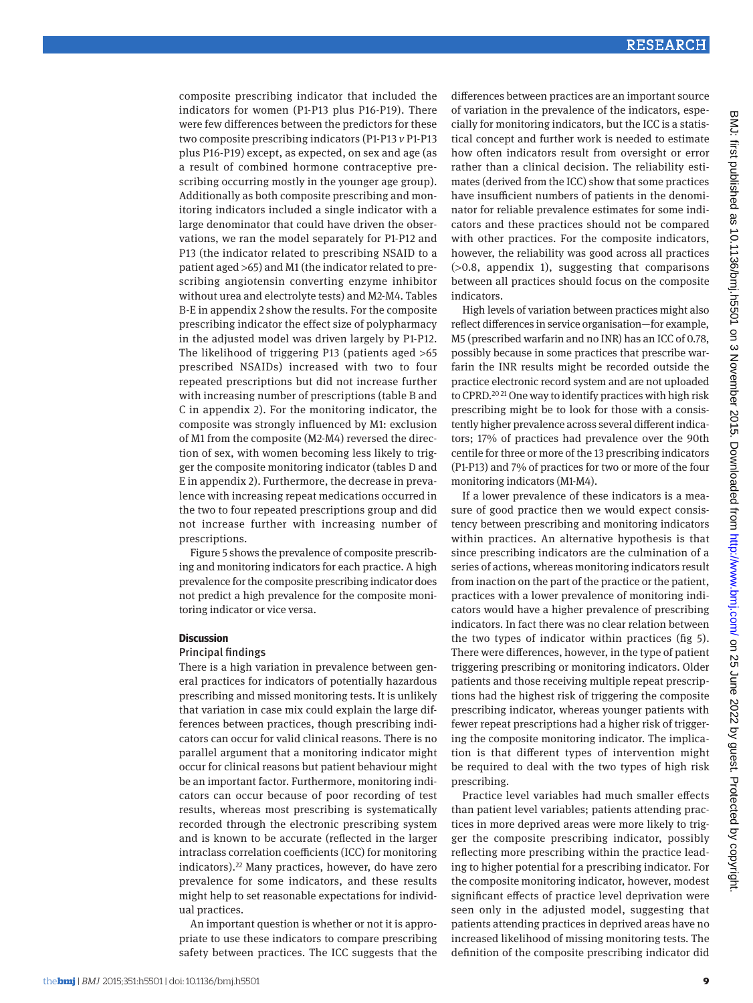composite prescribing indicator that included the indicators for women (P1-P13 plus P16-P19). There were few differences between the predictors for these two composite prescribing indicators (P1-P13 *v* P1-P13 plus P16-P19) except, as expected, on sex and age (as a result of combined hormone contraceptive prescribing occurring mostly in the younger age group). Additionally as both composite prescribing and monitoring indicators included a single indicator with a large denominator that could have driven the observations, we ran the model separately for P1-P12 and P13 (the indicator related to prescribing NSAID to a patient aged >65) and M1 (the indicator related to prescribing angiotensin converting enzyme inhibitor without urea and electrolyte tests) and M2-M4. Tables B-E in appendix 2 show the results. For the composite prescribing indicator the effect size of polypharmacy in the adjusted model was driven largely by P1-P12. The likelihood of triggering P13 (patients aged >65 prescribed NSAIDs) increased with two to four repeated prescriptions but did not increase further with increasing number of prescriptions (table B and C in appendix 2). For the monitoring indicator, the composite was strongly influenced by M1: exclusion of M1 from the composite (M2-M4) reversed the direction of sex, with women becoming less likely to trigger the composite monitoring indicator (tables D and E in appendix 2). Furthermore, the decrease in prevalence with increasing repeat medications occurred in the two to four repeated prescriptions group and did not increase further with increasing number of prescriptions.

Figure 5 shows the prevalence of composite prescribing and monitoring indicators for each practice. A high prevalence for the composite prescribing indicator does not predict a high prevalence for the composite monitoring indicator or vice versa.

#### **Discussion**

#### Principal findings

There is a high variation in prevalence between general practices for indicators of potentially hazardous prescribing and missed monitoring tests. It is unlikely that variation in case mix could explain the large differences between practices, though prescribing indicators can occur for valid clinical reasons. There is no parallel argument that a monitoring indicator might occur for clinical reasons but patient behaviour might be an important factor. Furthermore, monitoring indicators can occur because of poor recording of test results, whereas most prescribing is systematically recorded through the electronic prescribing system and is known to be accurate (reflected in the larger intraclass correlation coefficients (ICC) for monitoring indicators).22 Many practices, however, do have zero prevalence for some indicators, and these results might help to set reasonable expectations for individual practices.

An important question is whether or not it is appropriate to use these indicators to compare prescribing safety between practices. The ICC suggests that the

differences between practices are an important source of variation in the prevalence of the indicators, especially for monitoring indicators, but the ICC is a statistical concept and further work is needed to estimate how often indicators result from oversight or error rather than a clinical decision. The reliability estimates (derived from the ICC) show that some practices have insufficient numbers of patients in the denominator for reliable prevalence estimates for some indicators and these practices should not be compared with other practices. For the composite indicators, however, the reliability was good across all practices (>0.8, appendix 1), suggesting that comparisons between all practices should focus on the composite indicators.

High levels of variation between practices might also reflect differences in service organisation—for example, M5 (prescribed warfarin and no INR) has an ICC of 0.78, possibly because in some practices that prescribe warfarin the INR results might be recorded outside the practice electronic record system and are not uploaded to CPRD.<sup>2021</sup> One way to identify practices with high risk prescribing might be to look for those with a consistently higher prevalence across several different indicators; 17% of practices had prevalence over the 90th centile for three or more of the 13 prescribing indicators (P1-P13) and 7% of practices for two or more of the four monitoring indicators (M1-M4).

If a lower prevalence of these indicators is a measure of good practice then we would expect consistency between prescribing and monitoring indicators within practices. An alternative hypothesis is that since prescribing indicators are the culmination of a series of actions, whereas monitoring indicators result from inaction on the part of the practice or the patient, practices with a lower prevalence of monitoring indicators would have a higher prevalence of prescribing indicators. In fact there was no clear relation between the two types of indicator within practices (fig 5). There were differences, however, in the type of patient triggering prescribing or monitoring indicators. Older patients and those receiving multiple repeat prescriptions had the highest risk of triggering the composite prescribing indicator, whereas younger patients with fewer repeat prescriptions had a higher risk of triggering the composite monitoring indicator. The implication is that different types of intervention might be required to deal with the two types of high risk prescribing.

Practice level variables had much smaller effects than patient level variables; patients attending practices in more deprived areas were more likely to trigger the composite prescribing indicator, possibly reflecting more prescribing within the practice leading to higher potential for a prescribing indicator. For the composite monitoring indicator, however, modest significant effects of practice level deprivation were seen only in the adjusted model, suggesting that patients attending practices in deprived areas have no increased likelihood of missing monitoring tests. The definition of the composite prescribing indicator did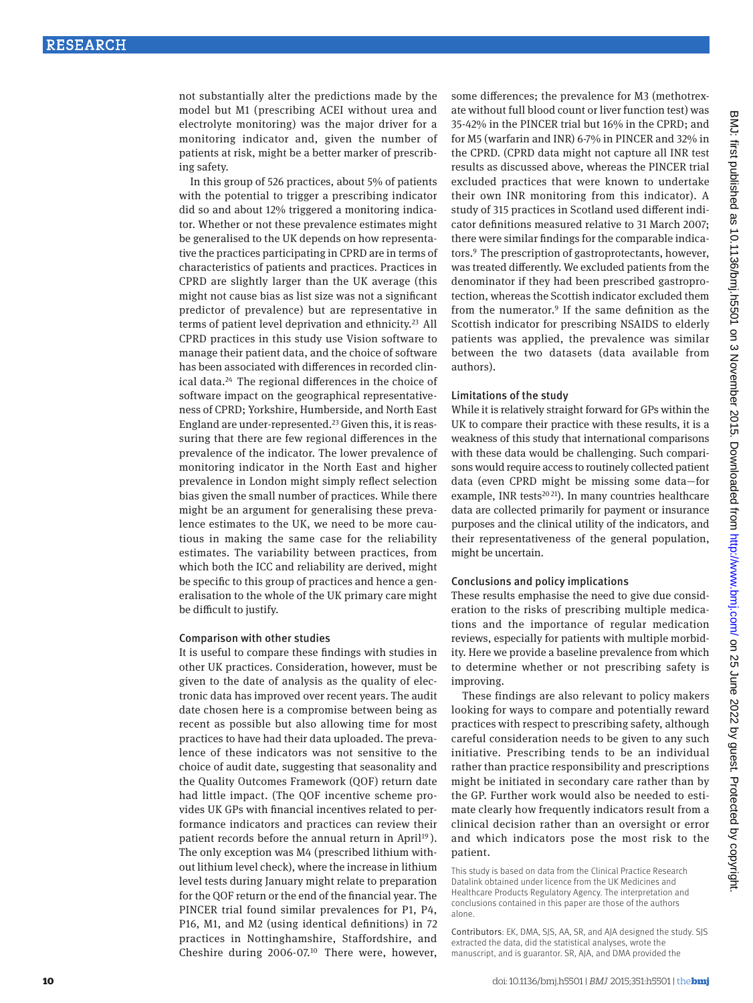BMJ: first published BMJ: first published as 10.1136/bmj.h5501 on 3 November 2015. Downloaded from <http://www.bmj.com/> on 25 June 2022 by guest. Protected by copyright. as 10.1136/bmj.h5501 on 3 November 2015. Downloaded from http://www.bmj.com/ on S June 2022 by guest. Protected by copyright

not substantially alter the predictions made by the model but M1 (prescribing ACEI without urea and electrolyte monitoring) was the major driver for a monitoring indicator and, given the number of patients at risk, might be a better marker of prescribing safety.

In this group of 526 practices, about 5% of patients with the potential to trigger a prescribing indicator did so and about 12% triggered a monitoring indicator. Whether or not these prevalence estimates might be generalised to the UK depends on how representative the practices participating in CPRD are in terms of characteristics of patients and practices. Practices in CPRD are slightly larger than the UK average (this might not cause bias as list size was not a significant predictor of prevalence) but are representative in terms of patient level deprivation and ethnicity.23 All CPRD practices in this study use Vision software to manage their patient data, and the choice of software has been associated with differences in recorded clinical data.24 The regional differences in the choice of software impact on the geographical representativeness of CPRD; Yorkshire, Humberside, and North East England are under-represented.<sup>23</sup> Given this, it is reassuring that there are few regional differences in the prevalence of the indicator. The lower prevalence of monitoring indicator in the North East and higher prevalence in London might simply reflect selection bias given the small number of practices. While there might be an argument for generalising these prevalence estimates to the UK, we need to be more cautious in making the same case for the reliability estimates. The variability between practices, from which both the ICC and reliability are derived, might be specific to this group of practices and hence a generalisation to the whole of the UK primary care might be difficult to justify.

#### Comparison with other studies

It is useful to compare these findings with studies in other UK practices. Consideration, however, must be given to the date of analysis as the quality of electronic data has improved over recent years. The audit date chosen here is a compromise between being as recent as possible but also allowing time for most practices to have had their data uploaded. The prevalence of these indicators was not sensitive to the choice of audit date, suggesting that seasonality and the Quality Outcomes Framework (QOF) return date had little impact. (The QOF incentive scheme provides UK GPs with financial incentives related to performance indicators and practices can review their patient records before the annual return in April<sup>19</sup>). The only exception was M4 (prescribed lithium without lithium level check), where the increase in lithium level tests during January might relate to preparation for the QOF return or the end of the financial year. The PINCER trial found similar prevalences for P1, P4, P16, M1, and M2 (using identical definitions) in 72 practices in Nottinghamshire, Staffordshire, and Cheshire during 2006-07.10 There were, however, some differences; the prevalence for M3 (methotrexate without full blood count or liver function test) was 35-42% in the PINCER trial but 16% in the CPRD; and for M5 (warfarin and INR) 6-7% in PINCER and 32% in the CPRD. (CPRD data might not capture all INR test results as discussed above, whereas the PINCER trial excluded practices that were known to undertake their own INR monitoring from this indicator). A study of 315 practices in Scotland used different indicator definitions measured relative to 31 March 2007; there were similar findings for the comparable indicators.9 The prescription of gastroprotectants, however, was treated differently. We excluded patients from the denominator if they had been prescribed gastroprotection, whereas the Scottish indicator excluded them from the numerator. $9$  If the same definition as the Scottish indicator for prescribing NSAIDS to elderly patients was applied, the prevalence was similar between the two datasets (data available from authors).

#### Limitations of the study

While it is relatively straight forward for GPs within the UK to compare their practice with these results, it is a weakness of this study that international comparisons with these data would be challenging. Such comparisons would require access to routinely collected patient data (even CPRD might be missing some data—for example, INR tests<sup>20 21</sup>). In many countries healthcare data are collected primarily for payment or insurance purposes and the clinical utility of the indicators, and their representativeness of the general population, might be uncertain.

#### Conclusions and policy implications

These results emphasise the need to give due consideration to the risks of prescribing multiple medications and the importance of regular medication reviews, especially for patients with multiple morbidity. Here we provide a baseline prevalence from which to determine whether or not prescribing safety is improving.

These findings are also relevant to policy makers looking for ways to compare and potentially reward practices with respect to prescribing safety, although careful consideration needs to be given to any such initiative. Prescribing tends to be an individual rather than practice responsibility and prescriptions might be initiated in secondary care rather than by the GP. Further work would also be needed to estimate clearly how frequently indicators result from a clinical decision rather than an oversight or error and which indicators pose the most risk to the patient.

This study is based on data from the Clinical Practice Research Datalink obtained under licence from the UK Medicines and Healthcare Products Regulatory Agency. The interpretation and conclusions contained in this paper are those of the authors alone.

Contributors: EK, DMA, SJS, AA, SR, and AJA designed the study. SJS extracted the data, did the statistical analyses, wrote the manuscript, and is guarantor. SR, AJA, and DMA provided the